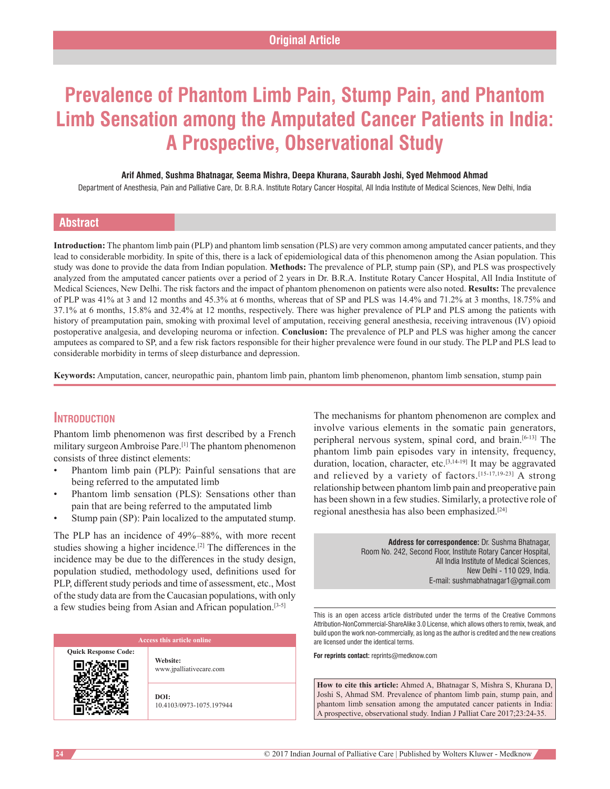# **Prevalence of Phantom Limb Pain, Stump Pain, and Phantom Limb Sensation among the Amputated Cancer Patients in India: A Prospective, Observational Study**

#### **Arif Ahmed, Sushma Bhatnagar, Seema Mishra, Deepa Khurana, Saurabh Joshi, Syed Mehmood Ahmad**

Department of Anesthesia, Pain and Palliative Care, Dr. B.R.A. Institute Rotary Cancer Hospital, All India Institute of Medical Sciences, New Delhi, India

# **Abstract**

**Introduction:** The phantom limb pain (PLP) and phantom limb sensation (PLS) are very common among amputated cancer patients, and they lead to considerable morbidity. In spite of this, there is a lack of epidemiological data of this phenomenon among the Asian population. This study was done to provide the data from Indian population. **Methods:** The prevalence of PLP, stump pain (SP), and PLS was prospectively analyzed from the amputated cancer patients over a period of 2 years in Dr. B.R.A. Institute Rotary Cancer Hospital, All India Institute of Medical Sciences, New Delhi. The risk factors and the impact of phantom phenomenon on patients were also noted. **Results:** The prevalence of PLP was 41% at 3 and 12 months and 45.3% at 6 months, whereas that of SP and PLS was 14.4% and 71.2% at 3 months, 18.75% and 37.1% at 6 months, 15.8% and 32.4% at 12 months, respectively. There was higher prevalence of PLP and PLS among the patients with history of preamputation pain, smoking with proximal level of amputation, receiving general anesthesia, receiving intravenous (IV) opioid postoperative analgesia, and developing neuroma or infection. **Conclusion:** The prevalence of PLP and PLS was higher among the cancer amputees as compared to SP, and a few risk factors responsible for their higher prevalence were found in our study. The PLP and PLS lead to considerable morbidity in terms of sleep disturbance and depression.

**Keywords:** Amputation, cancer, neuropathic pain, phantom limb pain, phantom limb phenomenon, phantom limb sensation, stump pain

# **Introduction**

Phantom limb phenomenon was first described by a French military surgeon Ambroise Pare.[1] The phantom phenomenon consists of three distinct elements:

- Phantom limb pain (PLP): Painful sensations that are being referred to the amputated limb
- Phantom limb sensation (PLS): Sensations other than pain that are being referred to the amputated limb
- Stump pain (SP): Pain localized to the amputated stump.

The PLP has an incidence of 49%–88%, with more recent studies showing a higher incidence.[2] The differences in the incidence may be due to the differences in the study design, population studied, methodology used, definitions used for PLP, different study periods and time of assessment, etc., Most of the study data are from the Caucasian populations, with only a few studies being from Asian and African population.[3‑5]

| Access this article online  |                                     |  |  |  |  |  |  |
|-----------------------------|-------------------------------------|--|--|--|--|--|--|
| <b>Quick Response Code:</b> | Website:<br>www.jpalliativecare.com |  |  |  |  |  |  |
|                             | DOI:<br>10.4103/0973-1075.197944    |  |  |  |  |  |  |

The mechanisms for phantom phenomenon are complex and involve various elements in the somatic pain generators, peripheral nervous system, spinal cord, and brain.[6‑13] The phantom limb pain episodes vary in intensity, frequency, duration, location, character, etc.<sup>[3,14-19]</sup> It may be aggravated and relieved by a variety of factors.<sup>[15-17,19-23]</sup> A strong relationship between phantom limb pain and preoperative pain has been shown in a few studies. Similarly, a protective role of regional anesthesia has also been emphasized.[24]

> **Address for correspondence:** Dr. Sushma Bhatnagar, Room No. 242, Second Floor, Institute Rotary Cancer Hospital, All India Institute of Medical Sciences, New Delhi - 110 029, India. E‑mail: sushmabhatnagar1@gmail.com

This is an open access article distributed under the terms of the Creative Commons Attribution-NonCommercial-ShareAlike 3.0 License, which allows others to remix, tweak, and build upon the work non-commercially, as long as the author is credited and the new creations are licensed under the identical terms.

**For reprints contact:** reprints@medknow.com

**How to cite this article:** Ahmed A, Bhatnagar S, Mishra S, Khurana D, Joshi S, Ahmad SM. Prevalence of phantom limb pain, stump pain, and phantom limb sensation among the amputated cancer patients in India: A prospective, observational study. Indian J Palliat Care 2017;23:24-35.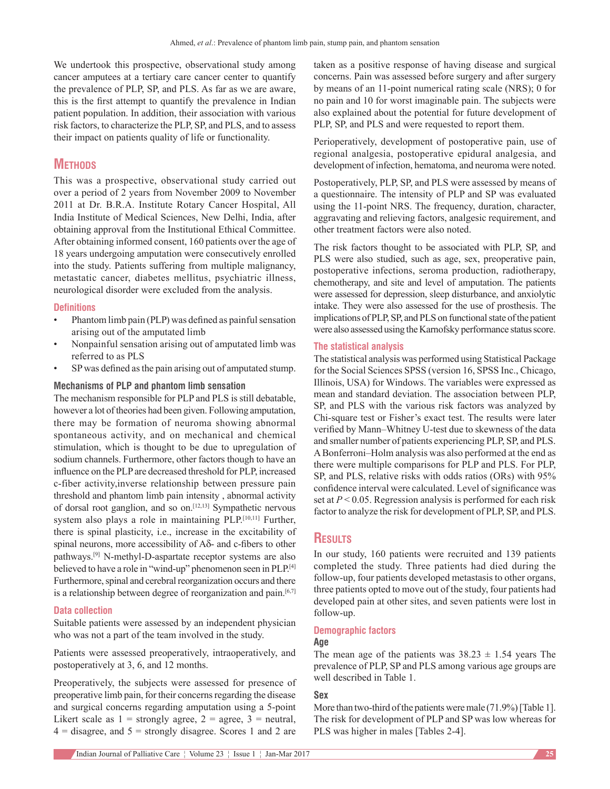We undertook this prospective, observational study among cancer amputees at a tertiary care cancer center to quantify the prevalence of PLP, SP, and PLS. As far as we are aware, this is the first attempt to quantify the prevalence in Indian patient population. In addition, their association with various risk factors, to characterize the PLP, SP, and PLS, and to assess their impact on patients quality of life or functionality.

# **Methods**

This was a prospective, observational study carried out over a period of 2 years from November 2009 to November 2011 at Dr. B.R.A. Institute Rotary Cancer Hospital, All India Institute of Medical Sciences, New Delhi, India, after obtaining approval from the Institutional Ethical Committee. After obtaining informed consent, 160 patients over the age of 18 years undergoing amputation were consecutively enrolled into the study. Patients suffering from multiple malignancy, metastatic cancer, diabetes mellitus, psychiatric illness, neurological disorder were excluded from the analysis.

# **Definitions**

- Phantom limb pain (PLP) was defined as painful sensation arising out of the amputated limb
- Nonpainful sensation arising out of amputated limb was referred to as PLS
- SP was defined as the pain arising out of amputated stump.

# **Mechanisms of PLP and phantom limb sensation**

The mechanism responsible for PLP and PLS is still debatable, however a lot of theories had been given. Following amputation, there may be formation of neuroma showing abnormal spontaneous activity, and on mechanical and chemical stimulation, which is thought to be due to upregulation of sodium channels. Furthermore, other factors though to have an influence on the PLP are decreased threshold for PLP, increased c-fiber activity,inverse relationship between pressure pain threshold and phantom limb pain intensity , abnormal activity of dorsal root ganglion, and so on.<sup>[12,13]</sup> Sympathetic nervous system also plays a role in maintaining PLP.[10,11] Further, there is spinal plasticity, i.e., increase in the excitability of spinal neurons, more accessibility of Aδ‑ and c‑fibers to other pathways.<sup>[9]</sup> N-methyl-D-aspartate receptor systems are also believed to have a role in "wind-up" phenomenon seen in PLP.<sup>[4]</sup> Furthermore, spinal and cerebral reorganization occurs and there is a relationship between degree of reorganization and pain. $[6,7]$ 

# **Data collection**

Suitable patients were assessed by an independent physician who was not a part of the team involved in the study.

Patients were assessed preoperatively, intraoperatively, and postoperatively at 3, 6, and 12 months.

Preoperatively, the subjects were assessed for presence of preoperative limb pain, for their concerns regarding the disease and surgical concerns regarding amputation using a 5‑point Likert scale as  $1 =$  strongly agree,  $2 =$  agree,  $3 =$  neutral,  $4 =$  disagree, and  $5 =$  strongly disagree. Scores 1 and 2 are

taken as a positive response of having disease and surgical concerns. Pain was assessed before surgery and after surgery by means of an 11‑point numerical rating scale (NRS); 0 for no pain and 10 for worst imaginable pain. The subjects were also explained about the potential for future development of PLP, SP, and PLS and were requested to report them.

Perioperatively, development of postoperative pain, use of regional analgesia, postoperative epidural analgesia, and development of infection, hematoma, and neuroma were noted.

Postoperatively, PLP, SP, and PLS were assessed by means of a questionnaire. The intensity of PLP and SP was evaluated using the 11‑point NRS. The frequency, duration, character, aggravating and relieving factors, analgesic requirement, and other treatment factors were also noted.

The risk factors thought to be associated with PLP, SP, and PLS were also studied, such as age, sex, preoperative pain, postoperative infections, seroma production, radiotherapy, chemotherapy, and site and level of amputation. The patients were assessed for depression, sleep disturbance, and anxiolytic intake. They were also assessed for the use of prosthesis. The implications of PLP, SP, and PLS on functional state of the patient were also assessed using the Karnofsky performance status score.

## **The statistical analysis**

The statistical analysis was performed using Statistical Package for the Social Sciences SPSS (version 16, SPSS Inc., Chicago, Illinois, USA) for Windows. The variables were expressed as mean and standard deviation. The association between PLP, SP, and PLS with the various risk factors was analyzed by Chi‑square test or Fisher's exact test. The results were later verified by Mann–Whitney U‑test due to skewness of the data and smaller number of patients experiencing PLP, SP, and PLS. ABonferroni–Holm analysis was also performed at the end as there were multiple comparisons for PLP and PLS. For PLP, SP, and PLS, relative risks with odds ratios (ORs) with 95% confidence interval were calculated. Level of significance was set at *P* < 0.05. Regression analysis is performed for each risk factor to analyze the risk for development of PLP, SP, and PLS.

# **Results**

In our study, 160 patients were recruited and 139 patients completed the study. Three patients had died during the follow-up, four patients developed metastasis to other organs, three patients opted to move out of the study, four patients had developed pain at other sites, and seven patients were lost in follow‑up.

## **Demographic factors**

# **Age**

The mean age of the patients was  $38.23 \pm 1.54$  years The prevalence of PLP, SP and PLS among various age groups are well described in Table 1.

# **Sex**

More than two-third of the patients were male (71.9%) [Table 1]. The risk for development of PLP and SP was low whereas for PLS was higher in males [Tables 2-4].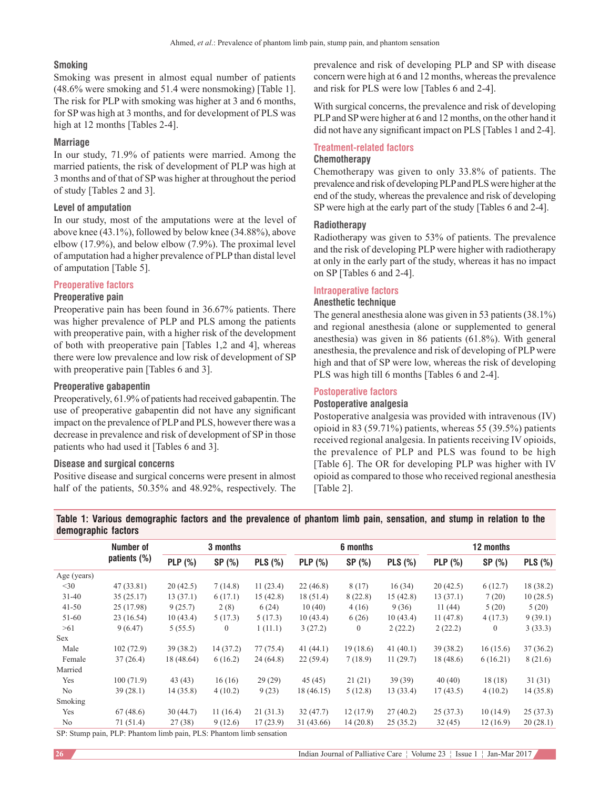# **Smoking**

Smoking was present in almost equal number of patients (48.6% were smoking and 51.4 were nonsmoking) [Table 1]. The risk for PLP with smoking was higher at 3 and 6 months, for SP was high at 3 months, and for development of PLS was high at 12 months [Tables 2-4].

# **Marriage**

In our study, 71.9% of patients were married. Among the married patients, the risk of development of PLP was high at 3 months and of that of SP was higher at throughout the period of study [Tables 2 and 3].

# **Level of amputation**

In our study, most of the amputations were at the level of above knee (43.1%), followed by below knee (34.88%), above elbow (17.9%), and below elbow (7.9%). The proximal level of amputation had a higher prevalence of PLP than distal level of amputation [Table 5].

# **Preoperative factors**

## **Preoperative pain**

Preoperative pain has been found in 36.67% patients. There was higher prevalence of PLP and PLS among the patients with preoperative pain, with a higher risk of the development of both with preoperative pain [Tables 1,2 and 4], whereas there were low prevalence and low risk of development of SP with preoperative pain [Tables 6 and 3].

## **Preoperative gabapentin**

Preoperatively, 61.9% of patients had received gabapentin. The use of preoperative gabapentin did not have any significant impact on the prevalence of PLP and PLS, however there was a decrease in prevalence and risk of development of SP in those patients who had used it [Tables 6 and 3].

#### **Disease and surgical concerns**

Positive disease and surgical concerns were present in almost half of the patients, 50.35% and 48.92%, respectively. The prevalence and risk of developing PLP and SP with disease concern were high at 6 and 12 months, whereas the prevalence and risk for PLS were low [Tables 6 and 2-4].

With surgical concerns, the prevalence and risk of developing PLP and SP were higher at 6 and 12 months, on the other hand it did not have any significant impact on PLS [Tables 1 and 2-4].

# **Treatment‑related factors**

# **Chemotherapy**

Chemotherapy was given to only 33.8% of patients. The prevalence and risk of developing PLP and PLS were higher at the end of the study, whereas the prevalence and risk of developing SP were high at the early part of the study [Tables 6 and 2-4].

# **Radiotherapy**

Radiotherapy was given to 53% of patients. The prevalence and the risk of developing PLP were higher with radiotherapy at only in the early part of the study, whereas it has no impact on SP [Tables 6 and 2-4].

## **Intraoperative factors**

# **Anesthetic technique**

The general anesthesia alone was given in 53 patients(38.1%) and regional anesthesia (alone or supplemented to general anesthesia) was given in 86 patients (61.8%). With general anesthesia, the prevalence and risk of developing of PLP were high and that of SP were low, whereas the risk of developing PLS was high till 6 months [Tables 6 and 2-4].

## **Postoperative factors**

## **Postoperative analgesia**

Postoperative analgesia was provided with intravenous (IV) opioid in 83 (59.71%) patients, whereas 55 (39.5%) patients received regional analgesia. In patients receiving IV opioids, the prevalence of PLP and PLS was found to be high [Table 6]. The OR for developing PLP was higher with IV opioid as compared to those who received regional anesthesia [Table 2].

**Table 1: Various demographic factors and the prevalence of phantom limb pain, sensation, and stump in relation to the demographic factors**

|             | Number of                  |                | 3 months       |           |             | 6 months     |             |           | 12 months |                |
|-------------|----------------------------|----------------|----------------|-----------|-------------|--------------|-------------|-----------|-----------|----------------|
|             | patients $(\%)$            | <b>PLP</b> (%) | SP (%)         | PLS(%)    | PLP(%)      | SP(%)        | PLS(%)      | PLP $(%)$ | SP $(%)$  | <b>PLS</b> (%) |
| Age (years) |                            |                |                |           |             |              |             |           |           |                |
| $<$ 30      | 47 (33.81)                 | 20(42.5)       | 7(14.8)        | 11(23.4)  | 22(46.8)    | 8(17)        | 16(34)      | 20(42.5)  | 6(12.7)   | 18 (38.2)      |
| $31 - 40$   | 35(25.17)                  | 13(37.1)       | 6(17.1)        | 15(42.8)  | 18(51.4)    | 8(22.8)      | 15(42.8)    | 13(37.1)  | 7(20)     | 10(28.5)       |
| $41 - 50$   | 25 (17.98)                 | 9(25.7)        | 2(8)           | 6(24)     | 10(40)      | 4(16)        | 9(36)       | 11(44)    | 5(20)     | 5(20)          |
| 51-60       | 23 (16.54)                 | 10(43.4)       | 5(17.3)        | 5(17.3)   | 10(43.4)    | 6(26)        | 10(43.4)    | 11(47.8)  | 4(17.3)   | 9(39.1)        |
| >61         | 9(6.47)                    | 5(55.5)        | $\overline{0}$ | 1(11.1)   | 3(27.2)     | $\mathbf{0}$ | 2(22.2)     | 2(22.2)   | $\theta$  | 3(33.3)        |
| Sex         |                            |                |                |           |             |              |             |           |           |                |
| Male        | 102(72.9)                  | 39 (38.2)      | 14 (37.2)      | 77 (75.4) | 41 $(44.1)$ | 19(18.6)     | 41 $(40.1)$ | 39 (38.2) | 16(15.6)  | 37(36.2)       |
| Female      | 37(26.4)                   | 18 (48.64)     | 6(16.2)        | 24 (64.8) | 22(59.4)    | 7(18.9)      | 11(29.7)    | 18(48.6)  | 6(16.21)  | 8 (21.6)       |
| Married     |                            |                |                |           |             |              |             |           |           |                |
| Yes         | 100(71.9)                  | 43 (43)        | 16(16)         | 29(29)    | 45 (45)     | 21(21)       | 39 (39)     | 40 (40)   | 18(18)    | 31(31)         |
| No          | 39(28.1)                   | 14(35.8)       | 4(10.2)        | 9(23)     | 18 (46.15)  | 5(12.8)      | 13(33.4)    | 17(43.5)  | 4(10.2)   | 14(35.8)       |
| Smoking     |                            |                |                |           |             |              |             |           |           |                |
| Yes         | 67(48.6)                   | 30(44.7)       | 11(16.4)       | 21(31.3)  | 32(47.7)    | 12(17.9)     | 27(40.2)    | 25(37.3)  | 10(14.9)  | 25(37.3)       |
| No          | 71 (51.4)                  | 27(38)         | 9(12.6)        | 17(23.9)  | 31 (43.66)  | 14(20.8)     | 25(35.2)    | 32(45)    | 12(16.9)  | 20(28.1)       |
| $CD\_CI$    | ו ויו המידה והיו היו היו ה |                |                |           |             |              |             |           |           |                |

SP: Stump pain, PLP: Phantom limb pain, PLS: Phantom limb sensation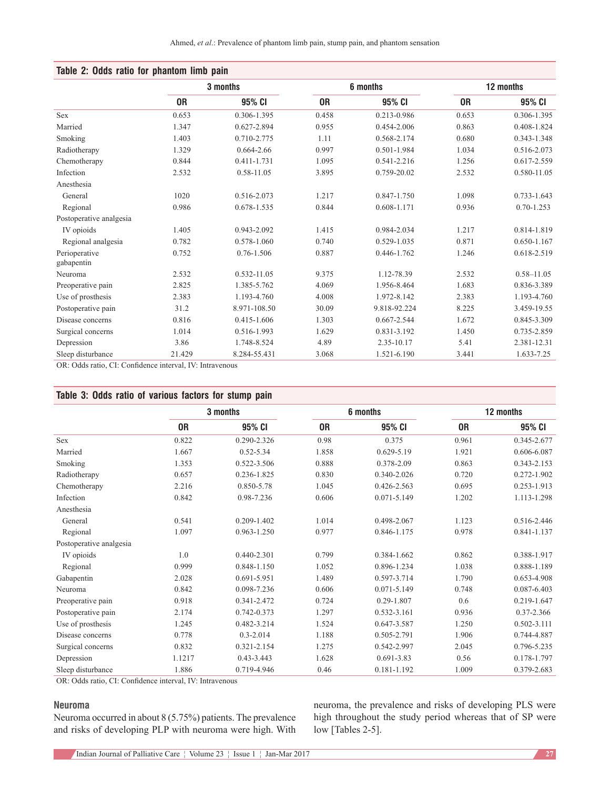| Table 2: Odds ratio for phantom limb pain |        |                 |       |              |       |                 |  |  |  |  |
|-------------------------------------------|--------|-----------------|-------|--------------|-------|-----------------|--|--|--|--|
|                                           |        | 3 months        |       | 6 months     |       | 12 months       |  |  |  |  |
|                                           | 0R     | 95% CI          | 0R    | 95% CI       | 0R    | 95% CI          |  |  |  |  |
| <b>Sex</b>                                | 0.653  | 0.306-1.395     | 0.458 | 0.213-0.986  | 0.653 | 0.306-1.395     |  |  |  |  |
| Married                                   | 1.347  | 0.627-2.894     | 0.955 | 0.454-2.006  | 0.863 | 0.408-1.824     |  |  |  |  |
| Smoking                                   | 1.403  | 0.710-2.775     | 1.11  | 0.568-2.174  | 0.680 | 0.343-1.348     |  |  |  |  |
| Radiotherapy                              | 1.329  | 0.664-2.66      | 0.997 | 0.501-1.984  | 1.034 | 0.516-2.073     |  |  |  |  |
| Chemotherapy                              | 0.844  | 0.411-1.731     | 1.095 | 0.541-2.216  | 1.256 | 0.617-2.559     |  |  |  |  |
| Infection                                 | 2.532  | 0.58-11.05      | 3.895 | 0.759-20.02  | 2.532 | 0.580-11.05     |  |  |  |  |
| Anesthesia                                |        |                 |       |              |       |                 |  |  |  |  |
| General                                   | 1020   | 0.516-2.073     | 1.217 | 0.847-1.750  | 1.098 | 0.733-1.643     |  |  |  |  |
| Regional                                  | 0.986  | 0.678-1.535     | 0.844 | 0.608-1.171  | 0.936 | $0.70 - 1.253$  |  |  |  |  |
| Postoperative analgesia                   |        |                 |       |              |       |                 |  |  |  |  |
| IV opioids                                | 1.405  | 0.943-2.092     | 1.415 | 0.984-2.034  | 1.217 | 0.814-1.819     |  |  |  |  |
| Regional analgesia                        | 0.782  | 0.578-1.060     | 0.740 | 0.529-1.035  | 0.871 | $0.650 - 1.167$ |  |  |  |  |
| Perioperative<br>gabapentin               | 0.752  | $0.76 - 1.506$  | 0.887 | 0.446-1.762  | 1.246 | 0.618-2.519     |  |  |  |  |
| Neuroma                                   | 2.532  | 0.532-11.05     | 9.375 | 1.12-78.39   | 2.532 | $0.58 - 11.05$  |  |  |  |  |
| Preoperative pain                         | 2.825  | 1.385-5.762     | 4.069 | 1.956-8.464  | 1.683 | 0.836-3.389     |  |  |  |  |
| Use of prosthesis                         | 2.383  | 1.193-4.760     | 4.008 | 1.972-8.142  | 2.383 | 1.193-4.760     |  |  |  |  |
| Postoperative pain                        | 31.2   | 8.971-108.50    | 30.09 | 9.818-92.224 | 8.225 | 3.459-19.55     |  |  |  |  |
| Disease concerns                          | 0.816  | $0.415 - 1.606$ | 1.303 | 0.667-2.544  | 1.672 | 0.845-3.309     |  |  |  |  |
| Surgical concerns                         | 1.014  | 0.516-1.993     | 1.629 | 0.831-3.192  | 1.450 | 0.735-2.859     |  |  |  |  |
| Depression                                | 3.86   | 1.748-8.524     | 4.89  | 2.35-10.17   | 5.41  | 2.381-12.31     |  |  |  |  |
| Sleep disturbance                         | 21.429 | 8.284-55.431    | 3.068 | 1.521-6.190  | 3.441 | 1.633-7.25      |  |  |  |  |

OR: Odds ratio, CI: Confidence interval, IV: Intravenous

# **Table 3: Odds ratio of various factors for stump pain**

|                         | 3 months  |                 |           | 6 months        |                | 12 months   |
|-------------------------|-----------|-----------------|-----------|-----------------|----------------|-------------|
|                         | <b>OR</b> | 95% CI          | <b>OR</b> | 95% CI          | 0 <sub>R</sub> | 95% CI      |
| Sex                     | 0.822     | 0.290-2.326     | 0.98      | 0.375           | 0.961          | 0.345-2.677 |
| Married                 | 1.667     | $0.52 - 5.34$   | 1.858     | $0.629 - 5.19$  | 1.921          | 0.606-6.087 |
| Smoking                 | 1.353     | 0.522-3.506     | 0.888     | 0.378-2.09      | 0.863          | 0.343-2.153 |
| Radiotherapy            | 0.657     | 0.236-1.825     | 0.830     | 0.340-2.026     | 0.720          | 0.272-1.902 |
| Chemotherapy            | 2.216     | 0.850-5.78      | 1.045     | 0.426-2.563     | 0.695          | 0.253-1.913 |
| Infection               | 0.842     | 0.98-7.236      | 0.606     | $0.071 - 5.149$ | 1.202          | 1.113-1.298 |
| Anesthesia              |           |                 |           |                 |                |             |
| General                 | 0.541     | $0.209 - 1.402$ | 1.014     | 0.498-2.067     | 1.123          | 0.516-2.446 |
| Regional                | 1.097     | 0.963-1.250     | 0.977     | 0.846-1.175     | 0.978          | 0.841-1.137 |
| Postoperative analgesia |           |                 |           |                 |                |             |
| IV opioids              | 1.0       | 0.440-2.301     | 0.799     | 0.384-1.662     | 0.862          | 0.388-1.917 |
| Regional                | 0.999     | 0.848-1.150     | 1.052     | 0.896-1.234     | 1.038          | 0.888-1.189 |
| Gabapentin              | 2.028     | 0.691-5.951     | 1.489     | 0.597-3.714     | 1.790          | 0.653-4.908 |
| Neuroma                 | 0.842     | 0.098-7.236     | 0.606     | $0.071 - 5.149$ | 0.748          | 0.087-6.403 |
| Preoperative pain       | 0.918     | 0.341-2.472     | 0.724     | 0.29-1.807      | 0.6            | 0.219-1.647 |
| Postoperative pain      | 2.174     | 0.742-0.373     | 1.297     | 0.532-3.161     | 0.936          | 0.37-2.366  |
| Use of prosthesis       | 1.245     | 0.482-3.214     | 1.524     | 0.647-3.587     | 1.250          | 0.502-3.111 |
| Disease concerns        | 0.778     | $0.3 - 2.014$   | 1.188     | 0.505-2.791     | 1.906          | 0.744-4.887 |
| Surgical concerns       | 0.832     | 0.321-2.154     | 1.275     | 0.542-2.997     | 2.045          | 0.796-5.235 |
| Depression              | 1.1217    | $0.43 - 3.443$  | 1.628     | $0.691 - 3.83$  | 0.56           | 0.178-1.797 |
| Sleep disturbance       | 1.886     | 0.719-4.946     | 0.46      | 0.181-1.192     | 1.009          | 0.379-2.683 |

OR: Odds ratio, CI: Confidence interval, IV: Intravenous

## **Neuroma**

Neuroma occurred in about 8 (5.75%) patients. The prevalence and risks of developing PLP with neuroma were high. With neuroma, the prevalence and risks of developing PLS were high throughout the study period whereas that of SP were low [Tables 2-5].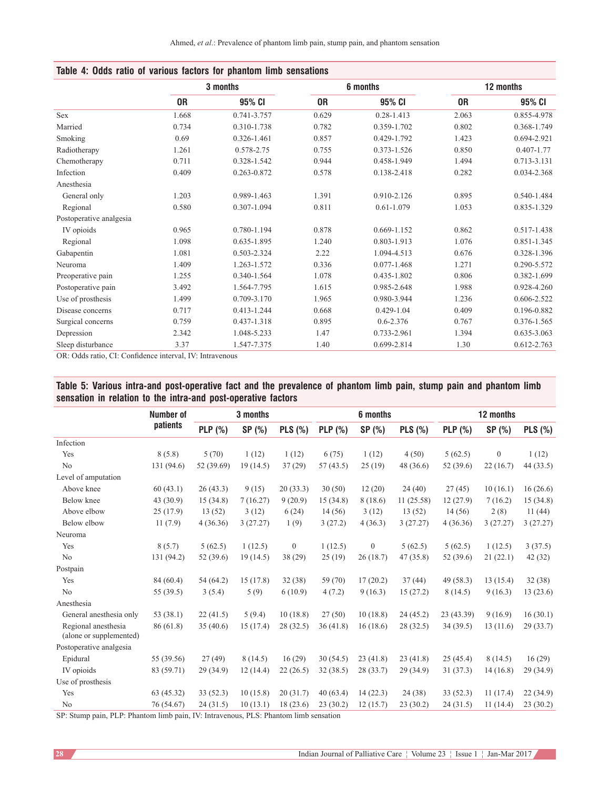|                         |       | 3 months    |           | 6 months        |           | 12 months       |
|-------------------------|-------|-------------|-----------|-----------------|-----------|-----------------|
|                         | 0R    | 95% CI      | <b>OR</b> | 95% CI          | <b>OR</b> | 95% CI          |
| Sex                     | 1.668 | 0.741-3.757 | 0.629     | $0.28 - 1.413$  | 2.063     | 0.855-4.978     |
| Married                 | 0.734 | 0.310-1.738 | 0.782     | 0.359-1.702     | 0.802     | 0.368-1.749     |
| Smoking                 | 0.69  | 0.326-1.461 | 0.857     | 0.429-1.792     | 1.423     | 0.694-2.921     |
| Radiotherapy            | 1.261 | 0.578-2.75  | 0.755     | 0.373-1.526     | 0.850     | $0.407 - 1.77$  |
| Chemotherapy            | 0.711 | 0.328-1.542 | 0.944     | 0.458-1.949     | 1.494     | 0.713-3.131     |
| Infection               | 0.409 | 0.263-0.872 | 0.578     | 0.138-2.418     | 0.282     | 0.034-2.368     |
| Anesthesia              |       |             |           |                 |           |                 |
| General only            | 1.203 | 0.989-1.463 | 1.391     | 0.910-2.126     | 0.895     | 0.540-1.484     |
| Regional                | 0.580 | 0.307-1.094 | 0.811     | $0.61 - 1.079$  | 1.053     | 0.835-1.329     |
| Postoperative analgesia |       |             |           |                 |           |                 |
| IV opioids              | 0.965 | 0.780-1.194 | 0.878     | $0.669 - 1.152$ | 0.862     | 0.517-1.438     |
| Regional                | 1.098 | 0.635-1.895 | 1.240     | 0.803-1.913     | 1.076     | 0.851-1.345     |
| Gabapentin              | 1.081 | 0.503-2.324 | 2.22      | 1.094-4.513     | 0.676     | 0.328-1.396     |
| Neuroma                 | 1.409 | 1.263-1.572 | 0.336     | $0.077 - 1.468$ | 1.271     | 0.290-5.572     |
| Preoperative pain       | 1.255 | 0.340-1.564 | 1.078     | 0.435-1.802     | 0.806     | 0.382-1.699     |
| Postoperative pain      | 3.492 | 1.564-7.795 | 1.615     | 0.985-2.648     | 1.988     | 0.928-4.260     |
| Use of prosthesis       | 1.499 | 0.709-3.170 | 1.965     | 0.980-3.944     | 1.236     | 0.606-2.522     |
| Disease concerns        | 0.717 | 0.413-1.244 | 0.668     | $0.429 - 1.04$  | 0.409     | 0.196-0.882     |
| Surgical concerns       | 0.759 | 0.437-1.318 | 0.895     | $0.6 - 2.376$   | 0.767     | 0.376-1.565     |
| Depression              | 2.342 | 1.048-5.233 | 1.47      | 0.733-2.961     | 1.394     | $0.635 - 3.063$ |
| Sleep disturbance       | 3.37  | 1.547-7.375 | 1.40      | 0.699-2.814     | 1.30      | $0.612 - 2.763$ |

# **Table 4: Odds ratio of various factors for phantom limb sensations**

OR: Odds ratio, CI: Confidence interval, IV: Intravenous

# **Table 5: Various intra‑and post‑operative fact and the prevalence of phantom limb pain, stump pain and phantom limb sensation in relation to the intra‑and post‑operative factors**

|                         | Number of       |                | 3 months |                |          | 6 months         |                | 12 months  |                  |                |
|-------------------------|-----------------|----------------|----------|----------------|----------|------------------|----------------|------------|------------------|----------------|
|                         | <b>patients</b> | <b>PLP</b> (%) | SP (%)   | PLS(%)         | PLP(%)   | SP (%)           | <b>PLS (%)</b> | $PLP$ (%)  | SP (%)           | <b>PLS (%)</b> |
| Infection               |                 |                |          |                |          |                  |                |            |                  |                |
| Yes                     | 8(5.8)          | 5(70)          | 1(12)    | 1(12)          | 6(75)    | 1(12)            | 4(50)          | 5(62.5)    | $\boldsymbol{0}$ | 1(12)          |
| N <sub>0</sub>          | 131 (94.6)      | 52 (39.69)     | 19(14.5) | 37(29)         | 57(43.5) | 25(19)           | 48(36.6)       | 52 (39.6)  | 22(16.7)         | 44 (33.5)      |
| Level of amputation     |                 |                |          |                |          |                  |                |            |                  |                |
| Above knee              | 60(43.1)        | 26(43.3)       | 9(15)    | 20(33.3)       | 30(50)   | 12(20)           | 24(40)         | 27(45)     | 10(16.1)         | 16(26.6)       |
| Below knee              | 43 (30.9)       | 15(34.8)       | 7(16.27) | 9(20.9)        | 15(34.8) | 8 (18.6)         | 11(25.58)      | 12(27.9)   | 7(16.2)          | 15(34.8)       |
| Above elbow             | 25(17.9)        | 13(52)         | 3(12)    | 6(24)          | 14(56)   | 3(12)            | 13(52)         | 14(56)     | 2(8)             | 11(44)         |
| Below elbow             | 11(7.9)         | 4(36.36)       | 3(27.27) | 1(9)           | 3(27.2)  | 4(36.3)          | 3(27.27)       | 4(36.36)   | 3(27.27)         | 3(27.27)       |
| Neuroma                 |                 |                |          |                |          |                  |                |            |                  |                |
| Yes                     | 8(5.7)          | 5(62.5)        | 1(12.5)  | $\overline{0}$ | 1(12.5)  | $\boldsymbol{0}$ | 5(62.5)        | 5(62.5)    | 1(12.5)          | 3(37.5)        |
| N <sub>o</sub>          | 131 (94.2)      | 52 (39.6)      | 19(14.5) | 38(29)         | 25(19)   | 26(18.7)         | 47(35.8)       | 52 (39.6)  | 21(22.1)         | 42 (32)        |
| Postpain                |                 |                |          |                |          |                  |                |            |                  |                |
| Yes                     | 84 (60.4)       | 54(64.2)       | 15(17.8) | 32(38)         | 59 (70)  | 17(20.2)         | 37(44)         | 49 (58.3)  | 13(15.4)         | 32(38)         |
| N <sub>o</sub>          | 55 (39.5)       | 3(5.4)         | 5(9)     | 6(10.9)        | 4(7.2)   | 9(16.3)          | 15(27.2)       | 8(14.5)    | 9(16.3)          | 13(23.6)       |
| Anesthesia              |                 |                |          |                |          |                  |                |            |                  |                |
| General anesthesia only | 53 (38.1)       | 22(41.5)       | 5(9.4)   | 10(18.8)       | 27(50)   | 10(18.8)         | 24(45.2)       | 23 (43.39) | 9(16.9)          | 16(30.1)       |
| Regional anesthesia     | 86(61.8)        | 35(40.6)       | 15(17.4) | 28 (32.5)      | 36(41.8) | 16(18.6)         | 28 (32.5)      | 34(39.5)   | 13(11.6)         | 29(33.7)       |
| (alone or supplemented) |                 |                |          |                |          |                  |                |            |                  |                |
| Postoperative analgesia |                 |                |          |                |          |                  |                |            |                  |                |
| Epidural                | 55 (39.56)      | 27(49)         | 8(14.5)  | 16(29)         | 30(54.5) | 23(41.8)         | 23(41.8)       | 25(45.4)   | 8(14.5)          | 16(29)         |
| IV opioids              | 83 (59.71)      | 29 (34.9)      | 12(14.4) | 22(26.5)       | 32(38.5) | 28 (33.7)        | 29(34.9)       | 31(37.3)   | 14(16.8)         | 29(34.9)       |
| Use of prosthesis       |                 |                |          |                |          |                  |                |            |                  |                |
| Yes                     | 63(45.32)       | 33(52.3)       | 10(15.8) | 20(31.7)       | 40(63.4) | 14(22.3)         | 24(38)         | 33(52.3)   | 11(17.4)         | 22(34.9)       |
| No                      | 76 (54.67)      | 24(31.5)       | 10(13.1) | 18(23.6)       | 23(30.2) | 12(15.7)         | 23(30.2)       | 24(31.5)   | 11(14.4)         | 23(30.2)       |

SP: Stump pain, PLP: Phantom limb pain, IV: Intravenous, PLS: Phantom limb sensation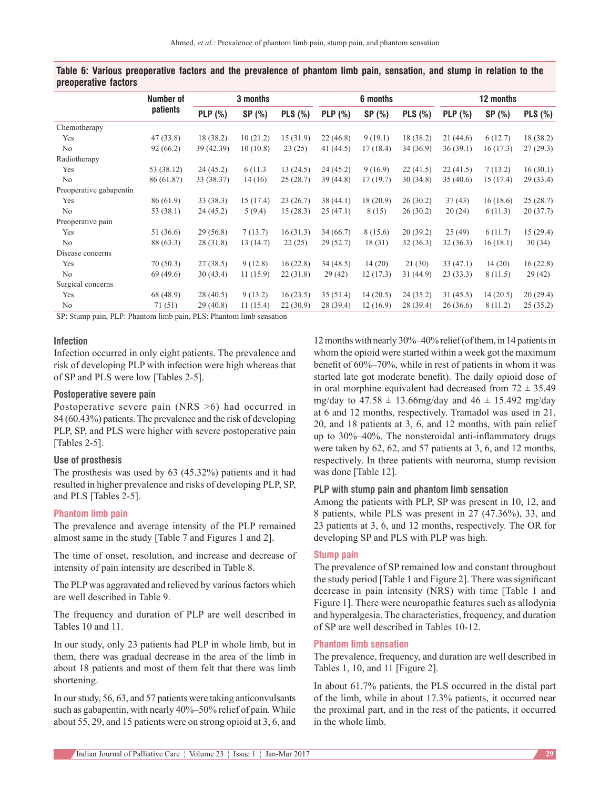|                         | Number of  |                | 3 months |                |                | 6 months  |                | 12 months      |          |                |
|-------------------------|------------|----------------|----------|----------------|----------------|-----------|----------------|----------------|----------|----------------|
|                         | patients   | <b>PLP</b> (%) | SP(%)    | <b>PLS (%)</b> | <b>PLP</b> (%) | SP (%)    | <b>PLS</b> (%) | <b>PLP</b> (%) | SP(%)    | <b>PLS</b> (%) |
| Chemotherapy            |            |                |          |                |                |           |                |                |          |                |
| Yes                     | 47(33.8)   | 18 (38.2)      | 10(21.2) | 15(31.9)       | 22(46.8)       | 9(19.1)   | 18 (38.2)      | 21(44.6)       | 6(12.7)  | 18 (38.2)      |
| No                      | 92(66.2)   | 39 (42.39)     | 10(10.8) | 23(25)         | 41 (44.5)      | 17(18.4)  | 34 (36.9)      | 36(39.1)       | 16(17.3) | 27(29.3)       |
| Radiotherapy            |            |                |          |                |                |           |                |                |          |                |
| Yes                     | 53 (38.12) | 24(45.2)       | 6 (11.3) | 13(24.5)       | 24(45.2)       | 9(16.9)   | 22(41.5)       | 22(41.5)       | 7(13.2)  | 16(30.1)       |
| No                      | 86 (61.87) | 33 (38.37)     | 14(16)   | 25(28.7)       | 39 (44.8)      | 17(19.7)  | 30(34.8)       | 35(40.6)       | 15(17.4) | 29 (33.4)      |
| Preoperative gabapentin |            |                |          |                |                |           |                |                |          |                |
| Yes                     | 86 (61.9)  | 33 (38.3)      | 15(17.4) | 23(26.7)       | 38(44.1)       | 18 (20.9) | 26(30.2)       | 37(43)         | 16(18.6) | 25(28.7)       |
| No                      | 53 (38.1)  | 24(45.2)       | 5(9.4)   | 15(28.3)       | 25(47.1)       | 8 (15)    | 26(30.2)       | 20(24)         | 6(11.3)  | 20(37.7)       |
| Preoperative pain       |            |                |          |                |                |           |                |                |          |                |
| Yes                     | 51 (36.6)  | 29(56.8)       | 7(13.7)  | 16(31.3)       | 34 (66.7)      | 8(15.6)   | 20(39.2)       | 25(49)         | 6(11.7)  | 15(29.4)       |
| No                      | 88 (63.3)  | 28 (31.8)      | 13(14.7) | 22(25)         | 29(52.7)       | 18(31)    | 32(36.3)       | 32(36.3)       | 16(18.1) | 30(34)         |
| Disease concerns        |            |                |          |                |                |           |                |                |          |                |
| Yes                     | 70(50.3)   | 27(38.5)       | 9(12.8)  | 16(22.8)       | 34 (48.5)      | 14(20)    | 21(30)         | 33(47.1)       | 14(20)   | 16(22.8)       |
| No                      | 69(49.6)   | 30(43.4)       | 11(15.9) | 22(31.8)       | 29(42)         | 12(17.3)  | 31 (44.9)      | 23(33.3)       | 8(11.5)  | 29(42)         |
| Surgical concerns       |            |                |          |                |                |           |                |                |          |                |
| Yes                     | 68 (48.9)  | 28(40.5)       | 9(13.2)  | 16(23.5)       | 35(51.4)       | 14(20.5)  | 24(35.2)       | 31(45.5)       | 14(20.5) | 20(29.4)       |
| No                      | 71 (51)    | 29(40.8)       | 11(15.4) | 22(30.9)       | 28 (39.4)      | 12(16.9)  | 28 (39.4)      | 26(36.6)       | 8(11.2)  | 25(35.2)       |

# **Table 6: Various preoperative factors and the prevalence of phantom limb pain, sensation, and stump in relation to the preoperative factors**

SP: Stump pain, PLP: Phantom limb pain, PLS: Phantom limb sensation

# **Infection**

Infection occurred in only eight patients. The prevalence and risk of developing PLP with infection were high whereas that of SP and PLS were low [Tables 2-5].

# **Postoperative severe pain**

Postoperative severe pain (NRS >6) had occurred in 84 (60.43%) patients. The prevalence and the risk of developing PLP, SP, and PLS were higher with severe postoperative pain [Tables 2-5].

### **Use of prosthesis**

The prosthesis was used by 63 (45.32%) patients and it had resulted in higher prevalence and risks of developing PLP, SP, and PLS [Tables 2-5].

#### **Phantom limb pain**

The prevalence and average intensity of the PLP remained almost same in the study [Table 7 and Figures 1 and 2].

The time of onset, resolution, and increase and decrease of intensity of pain intensity are described in Table 8.

The PLP was aggravated and relieved by various factors which are well described in Table 9.

The frequency and duration of PLP are well described in Tables 10 and 11.

In our study, only 23 patients had PLP in whole limb, but in them, there was gradual decrease in the area of the limb in about 18 patients and most of them felt that there was limb shortening.

In our study, 56, 63, and 57 patients were taking anticonvulsants such as gabapentin, with nearly 40%–50% relief of pain. While about 55, 29, and 15 patients were on strong opioid at 3, 6, and

12months with nearly 30%–40% relief (of them, in 14patients in whom the opioid were started within a week got the maximum benefit of 60%–70%, while in rest of patients in whom it was started late got moderate benefit). The daily opioid dose of in oral morphine equivalent had decreased from  $72 \pm 35.49$ mg/day to  $47.58 \pm 13.66$ mg/day and  $46 \pm 15.492$  mg/day at 6 and 12 months, respectively. Tramadol was used in 21, 20, and 18 patients at 3, 6, and 12 months, with pain relief up to 30%–40%. The nonsteroidal anti-inflammatory drugs were taken by 62, 62, and 57 patients at 3, 6, and 12 months, respectively. In three patients with neuroma, stump revision was done [Table 12].

# **PLP with stump pain and phantom limb sensation**

Among the patients with PLP, SP was present in 10, 12, and 8 patients, while PLS was present in 27 (47.36%), 33, and 23 patients at 3, 6, and 12 months, respectively. The OR for developing SP and PLS with PLP was high.

#### **Stump pain**

The prevalence of SP remained low and constant throughout the study period [Table 1 and Figure 2]. There was significant decrease in pain intensity (NRS) with time [Table 1 and Figure 1]. There were neuropathic features such as allodynia and hyperalgesia. The characteristics, frequency, and duration of SP are well described in Tables 10‑12.

#### **Phantom limb sensation**

The prevalence, frequency, and duration are well described in Tables 1, 10, and 11 [Figure 2].

In about 61.7% patients, the PLS occurred in the distal part of the limb, while in about 17.3% patients, it occurred near the proximal part, and in the rest of the patients, it occurred in the whole limb.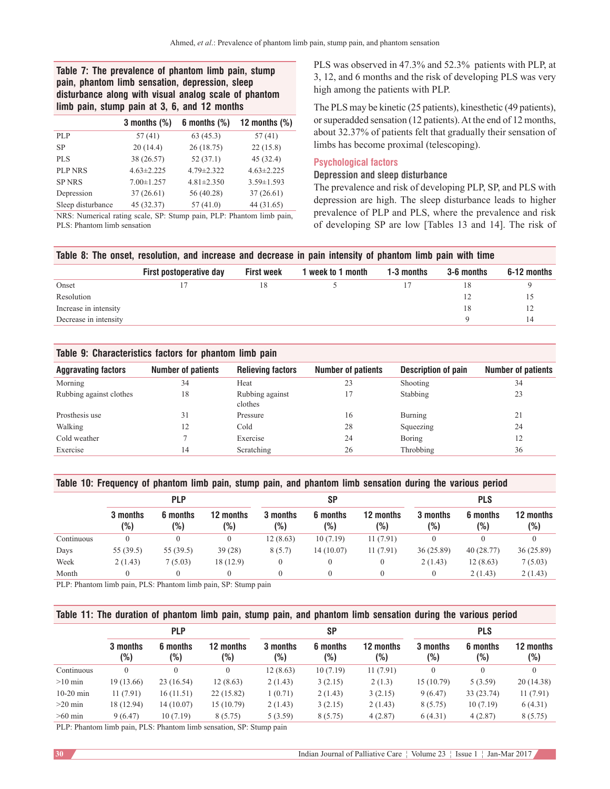# **Table 7: The prevalence of phantom limb pain, stump pain, phantom limb sensation, depression, sleep disturbance along with visual analog scale of phantom limb pain, stump pain at 3, 6, and 12 months**

|                                                                      | 3 months $(\%)$  | 6 months $(\%)$  | 12 months $(\%)$ |
|----------------------------------------------------------------------|------------------|------------------|------------------|
| <b>PLP</b>                                                           | 57(41)           | 63(45.3)         | 57(41)           |
| <b>SP</b>                                                            | 20(14.4)         | 26(18.75)        | 22(15.8)         |
| <b>PLS</b>                                                           | 38 (26.57)       | 52(37.1)         | 45(32.4)         |
| <b>PLP NRS</b>                                                       | $4.63 \pm 2.225$ | $4.79 \pm 2.322$ | $4.63 \pm 2.225$ |
| <b>SP NRS</b>                                                        | $7.00 \pm 1.257$ | $4.81 \pm 2.350$ | $3.59 \pm 1.593$ |
| Depression                                                           | 37(26.61)        | 56 (40.28)       | 37(26.61)        |
| Sleep disturbance                                                    | 45 (32.37)       | 57(41.0)         | 44 (31.65)       |
| MDC. Mumoriaal rating aaala. CD: Ctumn noin. DLD: Dhantom limb noin. |                  |                  |                  |

NRS: Numerical rating scale, SP: Stump pain, PLP: Phantom limb pain, PLS: Phantom limb sensation

PLS was observed in 47.3% and 52.3% patients with PLP, at 3, 12, and 6 months and the risk of developing PLS was very high among the patients with PLP.

The PLS may be kinetic (25 patients), kinesthetic (49 patients), or superadded sensation (12 patients). At the end of 12 months, about 32.37% of patients felt that gradually their sensation of limbs has become proximal (telescoping).

## **Psychological factors**

# **Depression and sleep disturbance**

The prevalence and risk of developing PLP, SP, and PLS with depression are high. The sleep disturbance leads to higher prevalence of PLP and PLS, where the prevalence and risk of developing SP are low [Tables 13 and 14]. The risk of

|  | Table 8: The onset, resolution, and increase and decrease in pain intensity of phantom limb pain with time |  |
|--|------------------------------------------------------------------------------------------------------------|--|
|  |                                                                                                            |  |

|    |  |    | 6-12 months |
|----|--|----|-------------|
| 18 |  |    |             |
|    |  |    |             |
|    |  | 18 |             |
|    |  |    |             |
|    |  |    |             |

# **Table 9: Characteristics factors for phantom limb pain**

| <b>Aggravating factors</b> | <b>Number of patients</b> | <b>Relieving factors</b>   | <b>Number of patients</b> | <b>Description of pain</b> | <b>Number of patients</b> |
|----------------------------|---------------------------|----------------------------|---------------------------|----------------------------|---------------------------|
| Morning                    | 34                        | Heat                       | 23                        | Shooting                   | 34                        |
| Rubbing against clothes    | 18                        | Rubbing against<br>clothes | 17                        | Stabbing                   | 23                        |
| Prosthesis use             | 31                        | Pressure                   | 16                        | Burning                    | 21                        |
| Walking                    | 12                        | Cold                       | 28                        | Squeezing                  | 24                        |
| Cold weather               |                           | Exercise                   | 24                        | Boring                     | 12                        |
| Exercise                   | 14                        | Scratching                 | 26                        | Throbbing                  | 36                        |

### **Table 10: Frequency of phantom limb pain, stump pain, and phantom limb sensation during the various period**

|            | <b>PLP</b>      |                 |                  | SΡ                 |                 |                  | <b>PLS</b>      |                 |                     |  |
|------------|-----------------|-----------------|------------------|--------------------|-----------------|------------------|-----------------|-----------------|---------------------|--|
|            | 3 months<br>(%) | 6 months<br>(%) | 12 months<br>(%) | 3 months<br>$(\%)$ | 6 months<br>(%) | 12 months<br>(%) | 3 months<br>(%) | 6 months<br>(%) | 12 months<br>$(\%)$ |  |
| Continuous |                 |                 | 0                | 12(8.63)           | 10(7.19)        | 11(7.91)         |                 |                 | 0                   |  |
| Days       | 55(39.5)        | 55(39.5)        | 39(28)           | 8(5.7)             | 14(10.07)       | 11(7.91)         | 36(25.89)       | 40(28.77)       | 36(25.89)           |  |
| Week       | 2(1.43)         | 7(5.03)         | 18(12.9)         |                    |                 |                  | 2(1.43)         | 12(8.63)        | 7(5.03)             |  |
| Month      |                 |                 | 0                |                    |                 |                  |                 | 2(1.43)         | 2(1.43)             |  |

PLP: Phantom limb pain, PLS: Phantom limb pain, SP: Stump pain

# **Table 11: The duration of phantom limb pain, stump pain, and phantom limb sensation during the various period**

|             | <b>PLP</b>      |                 |                  | SΡ              |                 |                  | <b>PLS</b>      |                 |                  |
|-------------|-----------------|-----------------|------------------|-----------------|-----------------|------------------|-----------------|-----------------|------------------|
|             | 3 months<br>(%) | 6 months<br>(%) | 12 months<br>(%) | 3 months<br>(%) | 6 months<br>(%) | 12 months<br>(%) | 3 months<br>(%) | 6 months<br>(%) | 12 months<br>(%) |
| Continuous  |                 | 0               | $\left( \right)$ | 12(8.63)        | 10(7.19)        | 11(7.91)         |                 |                 | $\mathbf{0}$     |
| $>10$ min   | 19 (13.66)      | 23(16.54)       | 12(8.63)         | 2(1.43)         | 3(2.15)         | 2(1.3)           | 15(10.79)       | 5(3.59)         | 20(14.38)        |
| $10-20$ min | 11(7.91)        | 16(11.51)       | 22(15.82)        | 1(0.71)         | 2(1.43)         | 3(2.15)          | 9(6.47)         | 33 (23.74)      | 11(7.91)         |
| $>20$ min   | 18 (12.94)      | 14(10.07)       | 15 (10.79)       | 2(1.43)         | 3(2.15)         | 2(1.43)          | 8(5.75)         | 10(7.19)        | 6(4.31)          |
| $>60$ min   | 9(6.47)         | 10(7.19)        | 8(5.75)          | 5(3.59)         | 8(5.75)         | 4(2.87)          | 6(4.31)         | 4(2.87)         | 8(5.75)          |

PLP: Phantom limb pain, PLS: Phantom limb sensation, SP: Stump pain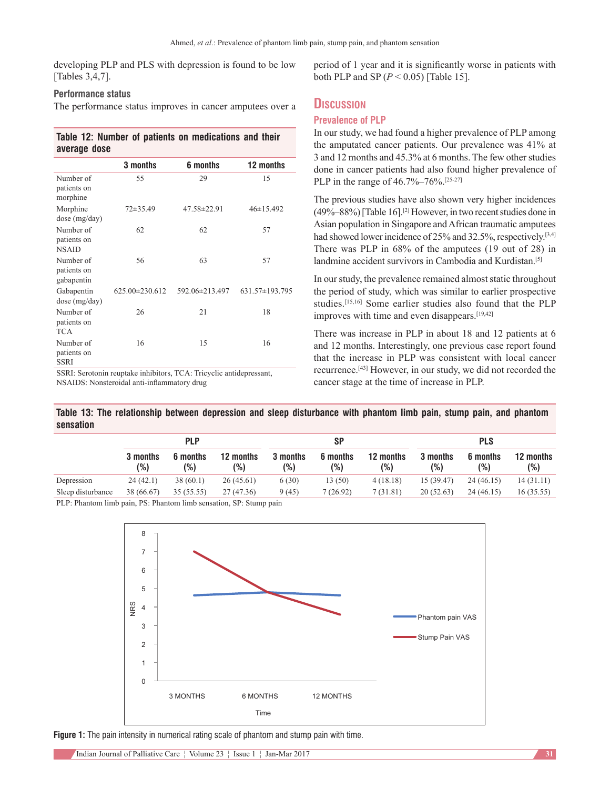developing PLP and PLS with depression is found to be low [Tables 3,4,7].

# **Performance status**

The performance status improves in cancer amputees over a

# **Table 12: Number of patients on medications and their average dose**

|                                          | 3 months             | 6 months       | 12 months       |
|------------------------------------------|----------------------|----------------|-----------------|
| Number of<br>patients on<br>morphine     | 55                   | 29             | 15              |
| Morphine<br>dose (mg/day)                | $72\pm35.49$         | 47.58±22.91    | $46 \pm 15.492$ |
| Number of<br>patients on<br><b>NSAID</b> | 62                   | 62             | 57              |
| Number of<br>patients on<br>gabapentin   | 56                   | 63             | 57              |
| Gabapentin<br>dose (mg/day)              | $625.00 \pm 230.612$ | 592.06±213.497 | 631.57±193.795  |
| Number of<br>patients on<br><b>TCA</b>   | 26                   | 21             | 18              |
| Number of<br>patients on<br><b>SSRI</b>  | 16                   | 15             | 16              |

SSRI: Serotonin reuptake inhibitors, TCA: Tricyclic antidepressant, NSAIDS: Nonsteroidal anti‑inflammatory drug

period of 1 year and it is significantly worse in patients with both PLP and SP  $(P < 0.05)$  [Table 15].

# **Discussion**

# **Prevalence of PLP**

In our study, we had found a higher prevalence of PLP among the amputated cancer patients. Our prevalence was 41% at 3 and 12 months and 45.3% at 6 months. The few other studies done in cancer patients had also found higher prevalence of PLP in the range of 46.7%–76%.<sup>[25-27]</sup>

The previous studies have also shown very higher incidences (49%–88%) [Table 16].[2] However, in two recent studies done in Asian population in Singapore and African traumatic amputees had showed lower incidence of 25% and 32.5%, respectively.<sup>[3,4]</sup> There was PLP in 68% of the amputees (19 out of 28) in landmine accident survivors in Cambodia and Kurdistan.[5]

In our study, the prevalence remained almost static throughout the period of study, which was similar to earlier prospective studies.[15,16] Some earlier studies also found that the PLP improves with time and even disappears.<sup>[19,42]</sup>

There was increase in PLP in about 18 and 12 patients at 6 and 12 months. Interestingly, one previous case report found that the increase in PLP was consistent with local cancer recurrence.[43] However, in our study, we did not recorded the cancer stage at the time of increase in PLP.

**Table 13: The relationship between depression and sleep disturbance with phantom limb pain, stump pain, and phantom sensation**

|                   | plp             |                               |                      | SP              |                 |                  | <b>PLS</b>      |                 |                  |
|-------------------|-----------------|-------------------------------|----------------------|-----------------|-----------------|------------------|-----------------|-----------------|------------------|
|                   | 3 months<br>(%) | 6 months<br>(%)               | 12 months<br>(%)     | 3 months<br>(%) | 6 months<br>(%) | 12 months<br>(%) | 3 months<br>(%) | 6 months<br>(%) | 12 months<br>(%) |
| Depression        | 24(42.1)        | 38(60.1)                      | 26(45.61)            | 6(30)           | 13 (50)         | 4(18.18)         | 15(39.47)       | 24(46.15)       | 14(31.11)        |
| Sleep disturbance | 38 (66.67)      | 35(55.55)                     | 27 (47.36)           | 9(45)           | 7(26.92)        | 7(31.81)         | 20(52.63)       | 24(46.15)       | 16(35.55)        |
| $\mathbf{r}$      |                 | $\mathbf{r} \cdot \mathbf{r}$ | $\sim$ $\sim$ $\sim$ |                 |                 |                  |                 |                 |                  |

PLP: Phantom limb pain, PS: Phantom limb sensation, SP: Stump pain



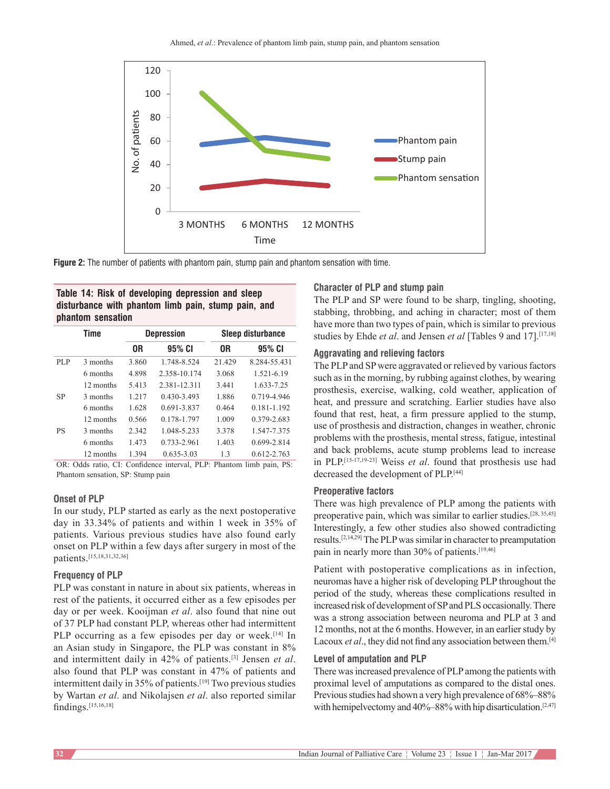

**Figure 2:** The number of patients with phantom pain, stump pain and phantom sensation with time.

**Table 14: Risk of developing depression and sleep disturbance with phantom limb pain, stump pain, and phantom sensation**

|           | Time      |       | <b>Depression</b> | <b>Sleep disturbance</b> |                 |  |
|-----------|-----------|-------|-------------------|--------------------------|-----------------|--|
|           |           | 0R    | 95% CI            | 0R                       | 95% CI          |  |
| PLP       | 3 months  | 3.860 | 1.748-8.524       | 21.429                   | 8.284-55.431    |  |
|           | 6 months  | 4.898 | 2.358-10.174      | 3.068                    | 1.521-6.19      |  |
|           | 12 months | 5.413 | 2.381-12.311      | 3.441                    | 1.633-7.25      |  |
| SP        | 3 months  | 1.217 | $0.430 - 3.493$   | 1.886                    | 0.719-4.946     |  |
|           | 6 months  | 1.628 | 0.691-3.837       | 0.464                    | $0.181 - 1.192$ |  |
|           | 12 months | 0.566 | 0.178-1.797       | 1.009                    | 0.379-2.683     |  |
| <b>PS</b> | 3 months  | 2.342 | 1.048-5.233       | 3.378                    | 1.547-7.375     |  |
|           | 6 months  | 1.473 | 0.733-2.961       | 1.403                    | 0.699-2.814     |  |
|           | 12 months | 1.394 | $0.635 - 3.03$    | 1.3                      | $0.612 - 2.763$ |  |

OR: Odds ratio, CI: Confidence interval, PLP: Phantom limb pain, PS: Phantom sensation, SP: Stump pain

#### **Onset of PLP**

In our study, PLP started as early as the next postoperative day in 33.34% of patients and within 1 week in 35% of patients. Various previous studies have also found early onset on PLP within a few days after surgery in most of the patients.[15,18,31,32,36]

#### **Frequency of PLP**

PLP was constant in nature in about six patients, whereas in rest of the patients, it occurred either as a few episodes per day or per week. Kooijman *et al*. also found that nine out of 37 PLP had constant PLP, whereas other had intermittent PLP occurring as a few episodes per day or week.<sup>[14]</sup> In an Asian study in Singapore, the PLP was constant in 8% and intermittent daily in 42% of patients.[3] Jensen *et al*. also found that PLP was constant in 47% of patients and intermittent daily in 35% of patients.<sup>[19]</sup> Two previous studies by Wartan *et al*. and Nikolajsen *et al*. also reported similar findings.[15,16,18]

#### **Character of PLP and stump pain**

The PLP and SP were found to be sharp, tingling, shooting, stabbing, throbbing, and aching in character; most of them have more than two types of pain, which is similar to previous studies by Ehde *et al*. and Jensen *et al* [Tables 9 and 17].[17,18]

### **Aggravating and relieving factors**

The PLP and SP were aggravated or relieved by various factors such as in the morning, by rubbing against clothes, by wearing prosthesis, exercise, walking, cold weather, application of heat, and pressure and scratching. Earlier studies have also found that rest, heat, a firm pressure applied to the stump, use of prosthesis and distraction, changes in weather, chronic problems with the prosthesis, mental stress, fatigue, intestinal and back problems, acute stump problems lead to increase in PLP.[15‑17,19‑23] Weiss *et al*. found that prosthesis use had decreased the development of PLP.[44]

## **Preoperative factors**

There was high prevalence of PLP among the patients with preoperative pain, which was similar to earlier studies.<sup>[28, 35,45]</sup> Interestingly, a few other studies also showed contradicting results.[2,14,29] The PLP was similar in character to preamputation pain in nearly more than 30% of patients.[19,46]

Patient with postoperative complications as in infection, neuromas have a higher risk of developing PLP throughout the period of the study, whereas these complications resulted in increased risk of development of SP and PLS occasionally. There was a strong association between neuroma and PLP at 3 and 12 months, not at the 6 months. However, in an earlier study by Lacoux *et al*., they did not find any association between them.[4]

#### **Level of amputation and PLP**

There was increased prevalence of PLP among the patients with proximal level of amputations as compared to the distal ones. Previous studies had shown a very high prevalence of  $68\% - 88\%$ with hemipelvectomy and 40%–88% with hip disarticulation.<sup>[2,47]</sup>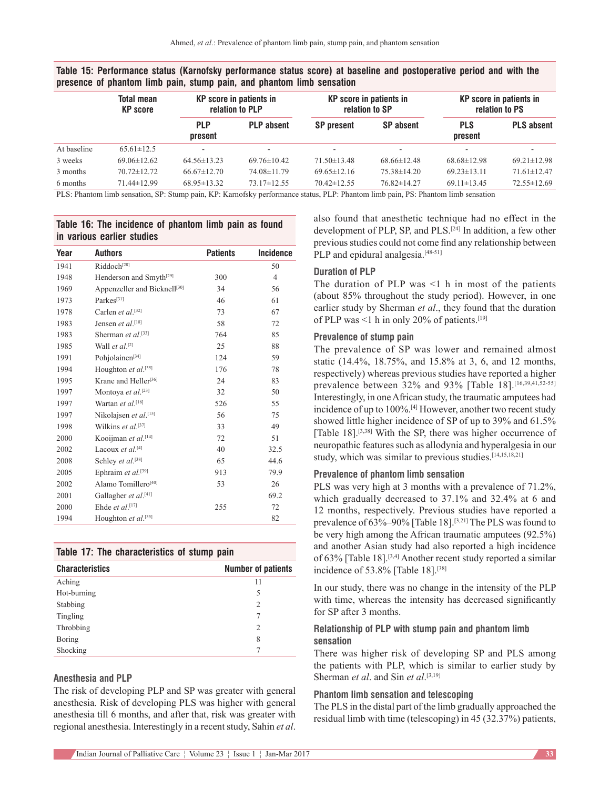| <b>Total mean</b><br><b>KP</b> score | <b>KP</b> score in patients in<br>relation to PLP |                   | <b>KP</b> score in patients in<br>relation to SP |                   | <b>KP</b> score in patients in<br>relation to PS |                                                                                                                               |
|--------------------------------------|---------------------------------------------------|-------------------|--------------------------------------------------|-------------------|--------------------------------------------------|-------------------------------------------------------------------------------------------------------------------------------|
|                                      | <b>PLP</b><br>present                             | <b>PLP</b> absent | <b>SP</b> present                                | <b>SP</b> absent  | <b>PLS</b><br>present                            | <b>PLS absent</b>                                                                                                             |
| $65.61 \pm 12.5$                     |                                                   |                   |                                                  | ۰                 |                                                  |                                                                                                                               |
| $69.06 \pm 12.62$                    | $64.56 \pm 13.23$                                 | $69.76 \pm 10.42$ | $71.50 \pm 13.48$                                | $68.66 \pm 12.48$ | $68.68 \pm 12.98$                                | $69.21 \pm 12.98$                                                                                                             |
| $70.72 \pm 12.72$                    | $66.67 \pm 12.70$                                 | 74.08±11.79       | $69.65 \pm 12.16$                                | $75.38 \pm 14.20$ | $69.23 \pm 13.11$                                | $71.61 \pm 12.47$                                                                                                             |
| $71.44 \pm 12.99$                    | $68.95 \pm 13.32$                                 | $73.17 \pm 12.55$ | $70.42 \pm 12.55$                                | 76.82±14.27       | $69.11 \pm 13.45$                                | $72.55 \pm 12.69$                                                                                                             |
|                                      |                                                   |                   |                                                  |                   |                                                  | PLS: Phantom limb sensation SP: Stump pain KP: Karnofsky performance status PLP: Phantom limb pain PS: Phantom limb sensation |

**Table 15: Performance status (Karnofsky performance status score) at baseline and postoperative period and with the presence of phantom limb pain, stump pain, and phantom limb sensation**

PLS: Phantom limb sensation, SP: Stump pain, KP: Karnofsky performance status, PLP: Phantom limb pain, PS: Phantom limb sensation

# **Table 16: The incidence of phantom limb pain as found in various earlier studies**

| Year | <b>Authors</b>                      | <b>Patients</b> | <b>Incidence</b> |
|------|-------------------------------------|-----------------|------------------|
| 1941 | Riddoch <sup>[28]</sup>             |                 | 50               |
| 1948 | Henderson and Smyth <sup>[29]</sup> | 300             | $\overline{4}$   |
| 1969 | Appenzeller and Bicknell[30]        | 34              | 56               |
| 1973 | Parkes <sup>[31]</sup>              | 46              | 61               |
| 1978 | Carlen et al.[32]                   | 73              | 67               |
| 1983 | Jensen et al.[18]                   | 58              | 72               |
| 1983 | Sherman et al. <sup>[33]</sup>      | 764             | 85               |
| 1985 | Wall et al. <sup>[2]</sup>          | 25              | 88               |
| 1991 | Pohjolainen <sup>[34]</sup>         | 124             | 59               |
| 1994 | Houghton et al.[35]                 | 176             | 78               |
| 1995 | Krane and Heller <sup>[36]</sup>    | 24              | 83               |
| 1997 | Montoya et al.[23]                  | 32              | 50               |
| 1997 | Wartan et al. <sup>[16]</sup>       | 526             | 55               |
| 1997 | Nikolajsen et al. <sup>[15]</sup>   | 56              | 75               |
| 1998 | Wilkins et al. <sup>[37]</sup>      | 33              | 49               |
| 2000 | Kooijman et al. <sup>[14]</sup>     | 72              | 51               |
| 2002 | Lacoux et al. <sup>[4]</sup>        | 40              | 32.5             |
| 2008 | Schley et al. <sup>[38]</sup>       | 65              | 44.6             |
| 2005 | Ephraim et al.[39]                  | 913             | 79.9             |
| 2002 | Alamo Tomillero <sup>[40]</sup>     | 53              | 26               |
| 2001 | Gallagher et al. <sup>[41]</sup>    |                 | 69.2             |
| 2000 | Ehde et al. <sup>[17]</sup>         | 255             | 72               |
| 1994 | Houghton et al.[35]                 |                 | 82               |

# **Table 17: The characteristics of stump pain**

| <b>Characteristics</b> | <b>Number of patients</b> |
|------------------------|---------------------------|
| Aching                 | 11                        |
| Hot-burning            | 5                         |
| Stabbing               | $\overline{c}$            |
| Tingling               | 7                         |
| Throbbing              | $\overline{c}$            |
| Boring                 | 8                         |
| Shocking               | 7                         |

# **Anesthesia and PLP**

The risk of developing PLP and SP was greater with general anesthesia. Risk of developing PLS was higher with general anesthesia till 6 months, and after that, risk was greater with regional anesthesia. Interestingly in a recent study, Sahin *et al*. also found that anesthetic technique had no effect in the development of PLP, SP, and PLS.<sup>[24]</sup> In addition, a few other previous studies could not come find any relationship between PLP and epidural analgesia.<sup>[48-51]</sup>

# **Duration of PLP**

The duration of PLP was <1 h in most of the patients (about 85% throughout the study period). However, in one earlier study by Sherman *et al*., they found that the duration of PLP was <1 h in only 20% of patients.<sup>[19]</sup>

# **Prevalence of stump pain**

The prevalence of SP was lower and remained almost static (14.4%, 18.75%, and 15.8% at 3, 6, and 12 months, respectively) whereas previous studies have reported a higher prevalence between 32% and 93% [Table 18].[16,39,41,52-55] Interestingly, in one African study, the traumatic amputees had incidence of up to 100%.[4] However, another two recent study showed little higher incidence of SP of up to 39% and 61.5% [Table 18].<sup>[3,38]</sup> With the SP, there was higher occurrence of neuropathic features such as allodynia and hyperalgesia in our study, which was similar to previous studies.[14,15,18,21]

# **Prevalence of phantom limb sensation**

PLS was very high at 3 months with a prevalence of 71.2%, which gradually decreased to 37.1% and 32.4% at 6 and 12 months, respectively. Previous studies have reported a prevalence of 63%–90% [Table 18].[3,21] The PLS was found to be very high among the African traumatic amputees (92.5%) and another Asian study had also reported a high incidence of 63% [Table 18].<sup>[3,4]</sup> Another recent study reported a similar incidence of 53.8% [Table 18].<sup>[38]</sup>

In our study, there was no change in the intensity of the PLP with time, whereas the intensity has decreased significantly for SP after 3 months.

# **Relationship of PLP with stump pain and phantom limb sensation**

There was higher risk of developing SP and PLS among the patients with PLP, which is similar to earlier study by Sherman *et al*. and Sin *et al*. [3,19]

# **Phantom limb sensation and telescoping**

The PLS in the distal part of the limb gradually approached the residual limb with time (telescoping) in 45 (32.37%) patients,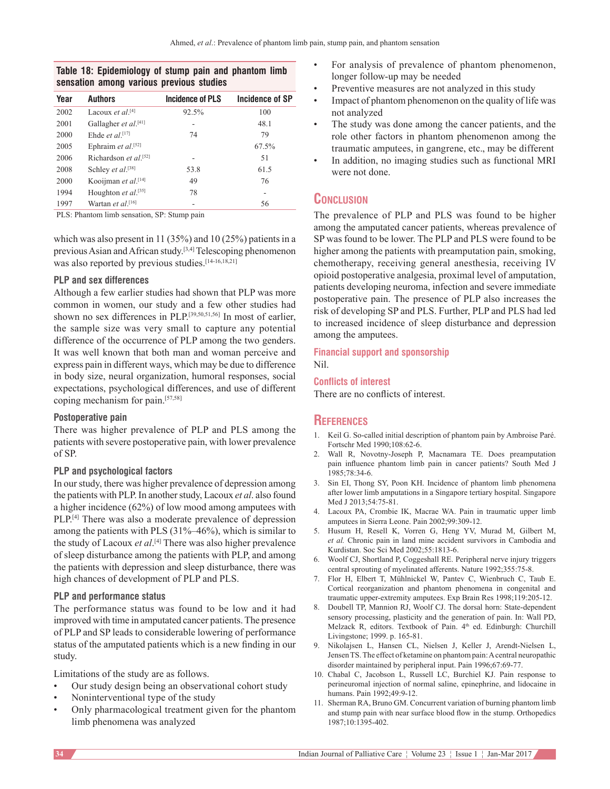# **Table 18: Epidemiology of stump pain and phantom limb sensation among various previous studies**

| Year | <b>Authors</b>                     | Incidence of PLS | Incidence of SP |
|------|------------------------------------|------------------|-----------------|
| 2002 | Lacoux <i>et al</i> [4]            | 92.5%            | 100             |
| 2001 | Gallagher et al.[41]               |                  | 48.1            |
| 2000 | Ehde et al. <sup>[17]</sup>        | 74               | 79              |
| 2005 | Ephraim et al. <sup>[52]</sup>     |                  | 67.5%           |
| 2006 | Richardson et $al$ <sup>[52]</sup> |                  | 51              |
| 2008 | Schley et al. <sup>[38]</sup>      | 53.8             | 61.5            |
| 2000 | Kooijman et al. <sup>[14]</sup>    | 49               | 76              |
| 1994 | Houghton et al.[35]                | 78               |                 |
| 1997 | Wartan et al. <sup>[16]</sup>      |                  | 56              |

PLS: Phantom limb sensation, SP: Stump pain

which was also present in 11 (35%) and 10 (25%) patients in a previous Asian and African study.[3,4] Telescoping phenomenon was also reported by previous studies.<sup>[14-16,18,21]</sup>

# **PLP and sex differences**

Although a few earlier studies had shown that PLP was more common in women, our study and a few other studies had shown no sex differences in PLP.[39,50,51,56] In most of earlier, the sample size was very small to capture any potential difference of the occurrence of PLP among the two genders. It was well known that both man and woman perceive and express pain in different ways, which may be due to difference in body size, neural organization, humoral responses, social expectations, psychological differences, and use of different coping mechanism for pain.[57,58]

# **Postoperative pain**

There was higher prevalence of PLP and PLS among the patients with severe postoperative pain, with lower prevalence of SP.

# **PLP and psychological factors**

In our study, there was higher prevalence of depression among the patients with PLP. In another study, Lacoux *et al*. also found a higher incidence (62%) of low mood among amputees with PLP.[4] There was also a moderate prevalence of depression among the patients with PLS (31%–46%), which is similar to the study of Lacoux *et al*. [4] There was also higher prevalence of sleep disturbance among the patients with PLP, and among the patients with depression and sleep disturbance, there was high chances of development of PLP and PLS.

# **PLP and performance status**

The performance status was found to be low and it had improved with time in amputated cancer patients. The presence of PLP and SP leads to considerable lowering of performance status of the amputated patients which is a new finding in our study.

Limitations of the study are as follows.

- Our study design being an observational cohort study
- Noninterventional type of the study
- Only pharmacological treatment given for the phantom limb phenomena was analyzed
- For analysis of prevalence of phantom phenomenon, longer follow‑up may be needed
- Preventive measures are not analyzed in this study
- Impact of phantom phenomenon on the quality of life was not analyzed
- The study was done among the cancer patients, and the role other factors in phantom phenomenon among the traumatic amputees, in gangrene, etc., may be different
- In addition, no imaging studies such as functional MRI were not done.

# **Conclusion**

The prevalence of PLP and PLS was found to be higher among the amputated cancer patients, whereas prevalence of SP was found to be lower. The PLP and PLS were found to be higher among the patients with preamputation pain, smoking, chemotherapy, receiving general anesthesia, receiving IV opioid postoperative analgesia, proximal level of amputation, patients developing neuroma, infection and severe immediate postoperative pain. The presence of PLP also increases the risk of developing SP and PLS. Further, PLP and PLS had led to increased incidence of sleep disturbance and depression among the amputees.

#### **Financial support and sponsorship** Nil.

# **Conflicts of interest**

There are no conflicts of interest.

# **References**

- 1. Keil G. So-called initial description of phantom pain by Ambroise Paré. Fortschr Med 1990;108:62‑6.
- 2. Wall R, Novotny‑Joseph P, Macnamara TE. Does preamputation pain influence phantom limb pain in cancer patients? South Med J 1985;78:34‑6.
- 3. Sin EI, Thong SY, Poon KH. Incidence of phantom limb phenomena after lower limb amputations in a Singapore tertiary hospital. Singapore Med J 2013;54:75-81.
- 4. Lacoux PA, Crombie IK, Macrae WA. Pain in traumatic upper limb amputees in Sierra Leone. Pain 2002;99:309‑12.
- 5. Husum H, Resell K, Vorren G, Heng YV, Murad M, Gilbert M, *et al.* Chronic pain in land mine accident survivors in Cambodia and Kurdistan. Soc Sci Med 2002;55:1813‑6.
- 6. Woolf CJ, Shortland P, Coggeshall RE. Peripheral nerve injury triggers central sprouting of myelinated afferents. Nature 1992;355:75‑8.
- 7. Flor H, Elbert T, Mühlnickel W, Pantev C, Wienbruch C, Taub E. Cortical reorganization and phantom phenomena in congenital and traumatic upper-extremity amputees. Exp Brain Res 1998;119:205-12.
- 8. Doubell TP, Mannion RJ, Woolf CJ. The dorsal horn: State-dependent sensory processing, plasticity and the generation of pain. In: Wall PD, Melzack R, editors. Textbook of Pain. 4<sup>th</sup> ed. Edinburgh: Churchill Livingstone; 1999. p. 165‑81.
- 9. Nikolajsen L, Hansen CL, Nielsen J, Keller J, Arendt‑Nielsen L, JensenTS. The effect of ketamine on phantom pain: A central neuropathic disorder maintained by peripheral input. Pain 1996;67:69‑77.
- 10. Chabal C, Jacobson L, Russell LC, Burchiel KJ. Pain response to perineuromal injection of normal saline, epinephrine, and lidocaine in humans. Pain 1992;49:9‑12.
- 11. Sherman RA, Bruno GM. Concurrent variation of burning phantom limb and stump pain with near surface blood flow in the stump. Orthopedics 1987;10:1395‑402.